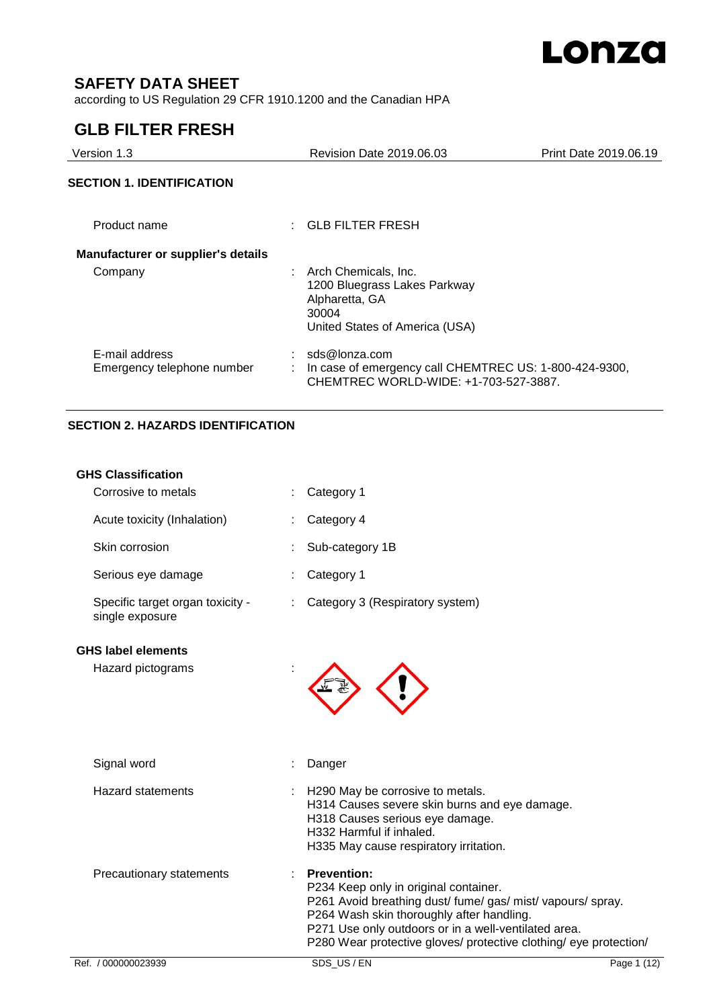

# **SAFETY DATA SHEET**

according to US Regulation 29 CFR 1910.1200 and the Canadian HPA

# **GLB FILTER FRESH**

| Version 1.3                                  |                                                 | Revision Date 2019.06.03                                                                        | Print Date 2019.06.19 |
|----------------------------------------------|-------------------------------------------------|-------------------------------------------------------------------------------------------------|-----------------------|
| <b>SECTION 1. IDENTIFICATION</b>             |                                                 |                                                                                                 |                       |
| Product name                                 | $\therefore$ GLB FILTER FRESH                   |                                                                                                 |                       |
| <b>Manufacturer or supplier's details</b>    |                                                 |                                                                                                 |                       |
| Company                                      | Arch Chemicals, Inc.<br>Alpharetta, GA<br>30004 | 1200 Bluegrass Lakes Parkway<br>United States of America (USA)                                  |                       |
| E-mail address<br>Emergency telephone number | sds@lonza.com                                   | In case of emergency call CHEMTREC US: 1-800-424-9300,<br>CHEMTREC WORLD-WIDE: +1-703-527-3887. |                       |

## **SECTION 2. HAZARDS IDENTIFICATION**

| <b>GHS Classification</b>                           |                                                                                                                                                                                                                                                                                                      |             |
|-----------------------------------------------------|------------------------------------------------------------------------------------------------------------------------------------------------------------------------------------------------------------------------------------------------------------------------------------------------------|-------------|
| Corrosive to metals                                 | Category 1                                                                                                                                                                                                                                                                                           |             |
| Acute toxicity (Inhalation)                         | Category 4                                                                                                                                                                                                                                                                                           |             |
| Skin corrosion                                      | Sub-category 1B                                                                                                                                                                                                                                                                                      |             |
| Serious eye damage                                  | Category 1                                                                                                                                                                                                                                                                                           |             |
| Specific target organ toxicity -<br>single exposure | Category 3 (Respiratory system)                                                                                                                                                                                                                                                                      |             |
| <b>GHS label elements</b>                           |                                                                                                                                                                                                                                                                                                      |             |
| Hazard pictograms                                   |                                                                                                                                                                                                                                                                                                      |             |
| Signal word                                         | Danger                                                                                                                                                                                                                                                                                               |             |
| Hazard statements                                   | H290 May be corrosive to metals.<br>H314 Causes severe skin burns and eye damage.<br>H318 Causes serious eye damage.<br>H332 Harmful if inhaled.<br>H335 May cause respiratory irritation.                                                                                                           |             |
| Precautionary statements                            | <b>Prevention:</b><br>P234 Keep only in original container.<br>P261 Avoid breathing dust/ fume/ gas/ mist/ vapours/ spray.<br>P264 Wash skin thoroughly after handling.<br>P271 Use only outdoors or in a well-ventilated area.<br>P280 Wear protective gloves/ protective clothing/ eye protection/ |             |
| Ref. / 000000023939                                 | SDS_US / EN                                                                                                                                                                                                                                                                                          | Page 1 (12) |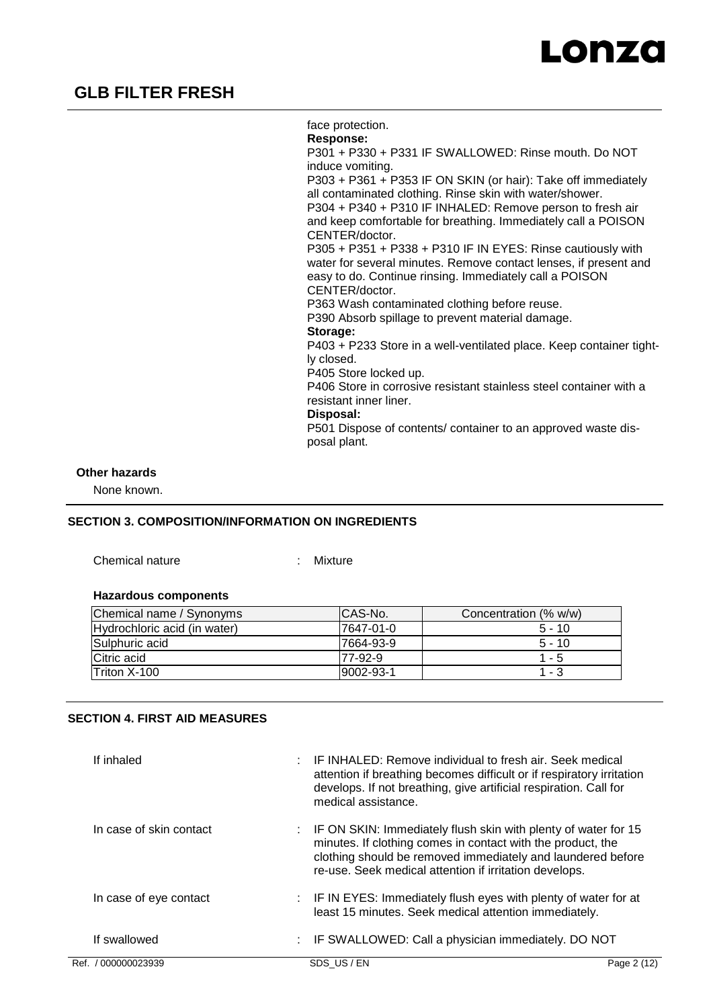

face protection. **Response:**  P301 + P330 + P331 IF SWALLOWED: Rinse mouth. Do NOT induce vomiting. P303 + P361 + P353 IF ON SKIN (or hair): Take off immediately all contaminated clothing. Rinse skin with water/shower. P304 + P340 + P310 IF INHALED: Remove person to fresh air and keep comfortable for breathing. Immediately call a POISON CENTER/doctor. P305 + P351 + P338 + P310 IF IN EYES: Rinse cautiously with water for several minutes. Remove contact lenses, if present and easy to do. Continue rinsing. Immediately call a POISON CENTER/doctor. P363 Wash contaminated clothing before reuse. P390 Absorb spillage to prevent material damage. **Storage:**  P403 + P233 Store in a well-ventilated place. Keep container tightly closed. P405 Store locked up. P406 Store in corrosive resistant stainless steel container with a resistant inner liner. **Disposal:**  P501 Dispose of contents/ container to an approved waste disposal plant.

### **Other hazards**

None known.

### **SECTION 3. COMPOSITION/INFORMATION ON INGREDIENTS**

Chemical nature : Mixture

#### **Hazardous components**

| Chemical name / Synonyms     | CAS-No.   | Concentration (% w/w) |
|------------------------------|-----------|-----------------------|
| Hydrochloric acid (in water) | 7647-01-0 | $5 - 10$              |
| Sulphuric acid               | 7664-93-9 | $5 - 10$              |
| Citric acid                  | 77-92-9   | $1 - 5$               |
| <b>Triton X-100</b>          | 9002-93-1 | 1 - 3                 |

### **SECTION 4. FIRST AID MEASURES**

| If inhaled              | : IF INHALED: Remove individual to fresh air. Seek medical<br>attention if breathing becomes difficult or if respiratory irritation<br>develops. If not breathing, give artificial respiration. Call for<br>medical assistance.                                     |             |
|-------------------------|---------------------------------------------------------------------------------------------------------------------------------------------------------------------------------------------------------------------------------------------------------------------|-------------|
| In case of skin contact | $\therefore$ IF ON SKIN: Immediately flush skin with plenty of water for 15<br>minutes. If clothing comes in contact with the product, the<br>clothing should be removed immediately and laundered before<br>re-use. Seek medical attention if irritation develops. |             |
| In case of eye contact  | : IF IN EYES: Immediately flush eyes with plenty of water for at<br>least 15 minutes. Seek medical attention immediately.                                                                                                                                           |             |
| If swallowed            | : IF SWALLOWED: Call a physician immediately. DO NOT                                                                                                                                                                                                                |             |
| Ref. / 000000023939     | SDS US/EN                                                                                                                                                                                                                                                           | Page 2 (12) |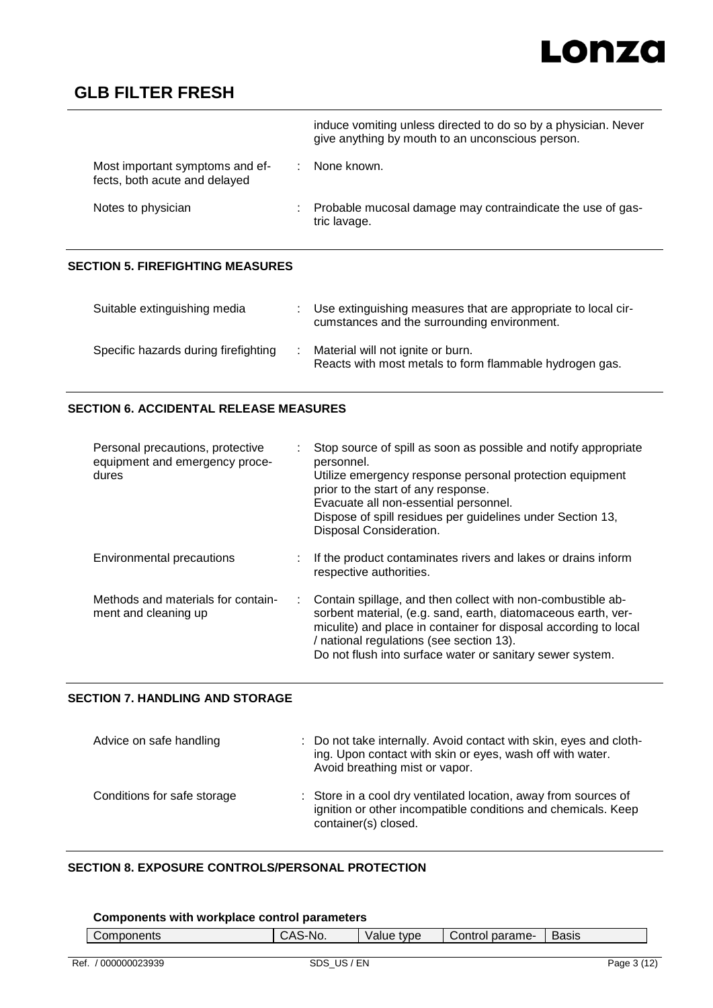# Lonza

# **GLB FILTER FRESH**

|                                                                  | induce vomiting unless directed to do so by a physician. Never<br>give anything by mouth to an unconscious person. |
|------------------------------------------------------------------|--------------------------------------------------------------------------------------------------------------------|
| Most important symptoms and ef-<br>fects, both acute and delayed | None known.                                                                                                        |
| Notes to physician                                               | Probable mucosal damage may contraindicate the use of gas-<br>tric lavage.                                         |
|                                                                  |                                                                                                                    |

### **SECTION 5. FIREFIGHTING MEASURES**

| Suitable extinguishing media         | Use extinguishing measures that are appropriate to local cir-<br>cumstances and the surrounding environment. |
|--------------------------------------|--------------------------------------------------------------------------------------------------------------|
| Specific hazards during firefighting | Material will not ignite or burn.<br>Reacts with most metals to form flammable hydrogen gas.                 |

## **SECTION 6. ACCIDENTAL RELEASE MEASURES**

| Personal precautions, protective<br>equipment and emergency proce-<br>dures | Stop source of spill as soon as possible and notify appropriate<br>personnel.<br>Utilize emergency response personal protection equipment<br>prior to the start of any response.<br>Evacuate all non-essential personnel.<br>Dispose of spill residues per guidelines under Section 13,<br>Disposal Consideration. |
|-----------------------------------------------------------------------------|--------------------------------------------------------------------------------------------------------------------------------------------------------------------------------------------------------------------------------------------------------------------------------------------------------------------|
| Environmental precautions                                                   | If the product contaminates rivers and lakes or drains inform<br>respective authorities.                                                                                                                                                                                                                           |
| Methods and materials for contain-<br>ment and cleaning up                  | : Contain spillage, and then collect with non-combustible ab-<br>sorbent material, (e.g. sand, earth, diatomaceous earth, ver-<br>miculite) and place in container for disposal according to local<br>/ national regulations (see section 13).<br>Do not flush into surface water or sanitary sewer system.        |

### **SECTION 7. HANDLING AND STORAGE**

| Advice on safe handling     | : Do not take internally. Avoid contact with skin, eyes and cloth-<br>ing. Upon contact with skin or eyes, wash off with water.<br>Avoid breathing mist or vapor. |
|-----------------------------|-------------------------------------------------------------------------------------------------------------------------------------------------------------------|
| Conditions for safe storage | : Store in a cool dry ventilated location, away from sources of<br>ignition or other incompatible conditions and chemicals. Keep<br>container(s) closed.          |

### **SECTION 8. EXPOSURE CONTROLS/PERSONAL PROTECTION**

### **Components with workplace control parameters**

| Components | `-No.<br>$\cdot$ $\cdot$ | tvpe<br>'alue | parame-<br>$\sim$<br>CONTOL | <b>Basis</b> |
|------------|--------------------------|---------------|-----------------------------|--------------|
|            |                          |               |                             |              |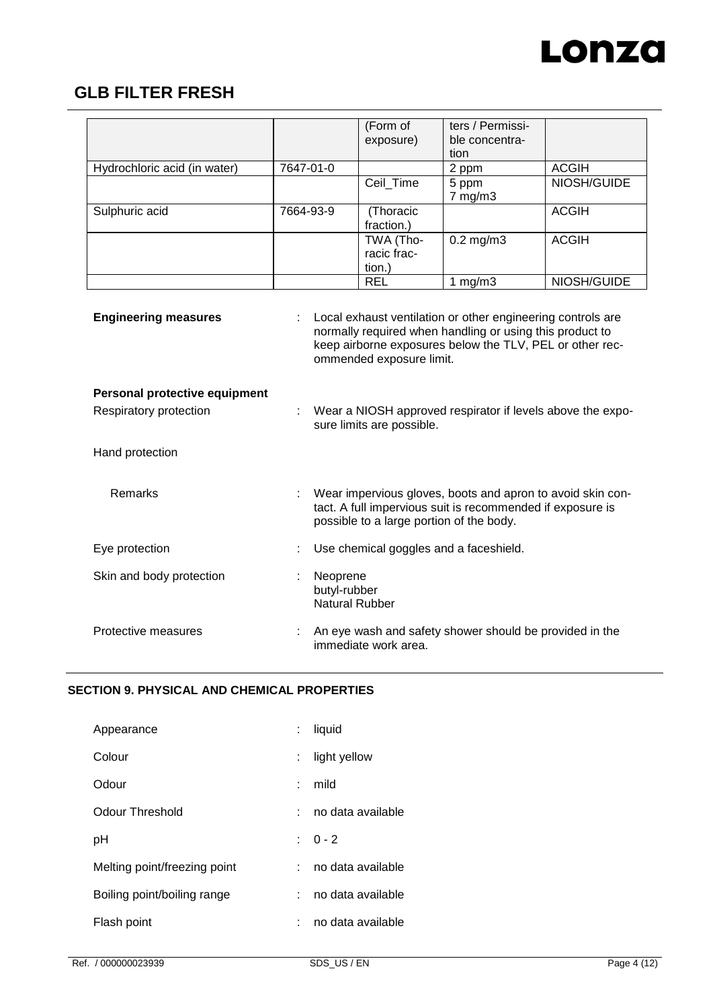

|                               |                                                                                         | (Form of<br>exposure)                    | ters / Permissi-<br>ble concentra-<br>tion                                                                                                                                          |              |
|-------------------------------|-----------------------------------------------------------------------------------------|------------------------------------------|-------------------------------------------------------------------------------------------------------------------------------------------------------------------------------------|--------------|
| Hydrochloric acid (in water)  | 7647-01-0                                                                               |                                          | 2 ppm                                                                                                                                                                               | <b>ACGIH</b> |
|                               |                                                                                         | Ceil_Time                                | 5 ppm<br>7 mg/m3                                                                                                                                                                    | NIOSH/GUIDE  |
| Sulphuric acid                | 7664-93-9                                                                               | (Thoracic<br>fraction.)                  |                                                                                                                                                                                     | <b>ACGIH</b> |
|                               |                                                                                         | TWA (Tho-<br>racic frac-<br>tion.)       | $0.2$ mg/m $3$                                                                                                                                                                      | <b>ACGIH</b> |
|                               |                                                                                         | <b>REL</b>                               | 1 $mg/m3$                                                                                                                                                                           | NIOSH/GUIDE  |
| <b>Engineering measures</b>   |                                                                                         | ommended exposure limit.                 | Local exhaust ventilation or other engineering controls are<br>normally required when handling or using this product to<br>keep airborne exposures below the TLV, PEL or other rec- |              |
| Personal protective equipment |                                                                                         |                                          |                                                                                                                                                                                     |              |
| Respiratory protection        | Wear a NIOSH approved respirator if levels above the expo-<br>sure limits are possible. |                                          |                                                                                                                                                                                     |              |
| Hand protection               |                                                                                         |                                          |                                                                                                                                                                                     |              |
| Remarks                       |                                                                                         | possible to a large portion of the body. | Wear impervious gloves, boots and apron to avoid skin con-<br>tact. A full impervious suit is recommended if exposure is                                                            |              |
| Eye protection                | Use chemical goggles and a faceshield.                                                  |                                          |                                                                                                                                                                                     |              |
| Skin and body protection      | Neoprene<br>butyl-rubber<br><b>Natural Rubber</b>                                       |                                          |                                                                                                                                                                                     |              |
| Protective measures           | An eye wash and safety shower should be provided in the<br>immediate work area.         |                                          |                                                                                                                                                                                     |              |

### **SECTION 9. PHYSICAL AND CHEMICAL PROPERTIES**

| Appearance                   |    | liquid            |
|------------------------------|----|-------------------|
| Colour                       | t. | light yellow      |
| Odour                        | ٠  | mild              |
| Odour Threshold              |    | no data available |
| рH                           |    | $: 0 - 2$         |
| Melting point/freezing point |    | no data available |
| Boiling point/boiling range  |    | no data available |
| Flash point                  |    | no data available |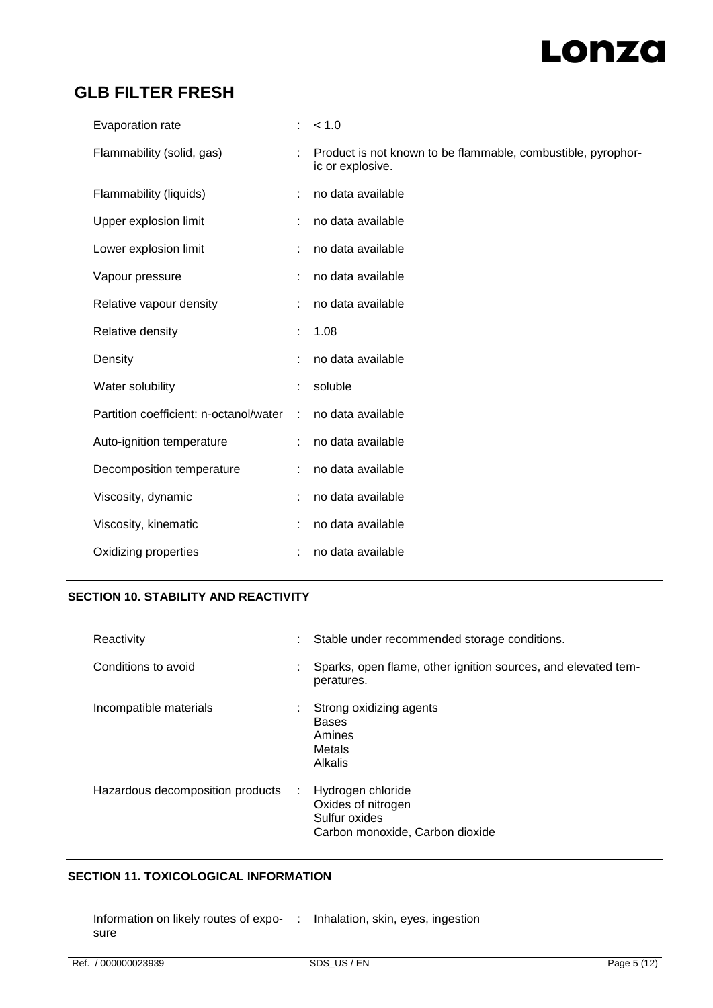# Lonza

# **GLB FILTER FRESH**

| Evaporation rate                       | ÷. | < 1.0                                                                            |
|----------------------------------------|----|----------------------------------------------------------------------------------|
| Flammability (solid, gas)              | ÷  | Product is not known to be flammable, combustible, pyrophor-<br>ic or explosive. |
| Flammability (liquids)                 | ÷  | no data available                                                                |
| Upper explosion limit                  |    | no data available                                                                |
| Lower explosion limit                  | ÷  | no data available                                                                |
| Vapour pressure                        |    | no data available                                                                |
| Relative vapour density                | ÷  | no data available                                                                |
| Relative density                       |    | 1.08                                                                             |
| Density                                | t  | no data available                                                                |
| Water solubility                       |    | soluble                                                                          |
| Partition coefficient: n-octanol/water | ÷  | no data available                                                                |
| Auto-ignition temperature              |    | no data available                                                                |
| Decomposition temperature              | ÷  | no data available                                                                |
| Viscosity, dynamic                     |    | no data available                                                                |
| Viscosity, kinematic                   |    | no data available                                                                |
| Oxidizing properties                   |    | no data available                                                                |

# **SECTION 10. STABILITY AND REACTIVITY**

| Reactivity                       |   | Stable under recommended storage conditions.                                                |
|----------------------------------|---|---------------------------------------------------------------------------------------------|
| Conditions to avoid              |   | Sparks, open flame, other ignition sources, and elevated tem-<br>peratures.                 |
| Incompatible materials           |   | Strong oxidizing agents<br><b>Bases</b><br>Amines<br>Metals<br><b>Alkalis</b>               |
| Hazardous decomposition products | ÷ | Hydrogen chloride<br>Oxides of nitrogen<br>Sulfur oxides<br>Carbon monoxide, Carbon dioxide |

## **SECTION 11. TOXICOLOGICAL INFORMATION**

Information on likely routes of expo-: Inhalation, skin, eyes, ingestionsure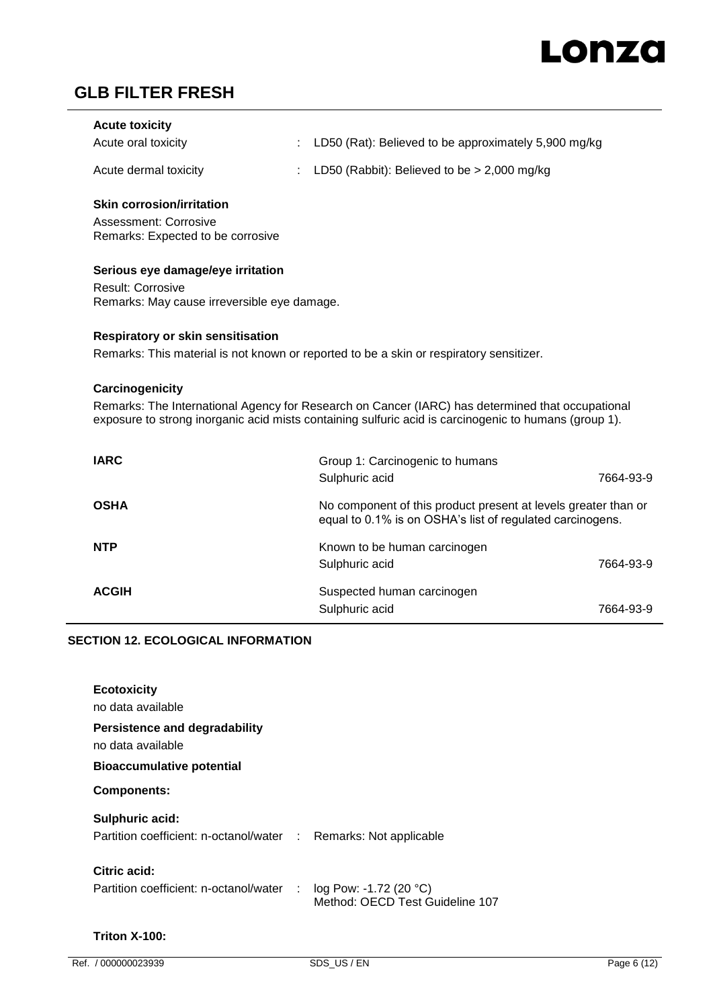| <b>Acute toxicity</b> |                                                        |
|-----------------------|--------------------------------------------------------|
| Acute oral toxicity   | : LD50 (Rat): Believed to be approximately 5,900 mg/kg |
| Acute dermal toxicity | : LD50 (Rabbit): Believed to be $> 2,000$ mg/kg        |

### **Skin corrosion/irritation**

Assessment: Corrosive Remarks: Expected to be corrosive

### **Serious eye damage/eye irritation**

Result: Corrosive Remarks: May cause irreversible eye damage.

### **Respiratory or skin sensitisation**

Remarks: This material is not known or reported to be a skin or respiratory sensitizer.

### **Carcinogenicity**

Remarks: The International Agency for Research on Cancer (IARC) has determined that occupational exposure to strong inorganic acid mists containing sulfuric acid is carcinogenic to humans (group 1).

| <b>IARC</b>  | Group 1: Carcinogenic to humans                                                                                             |           |
|--------------|-----------------------------------------------------------------------------------------------------------------------------|-----------|
|              | Sulphuric acid                                                                                                              | 7664-93-9 |
| <b>OSHA</b>  | No component of this product present at levels greater than or<br>equal to 0.1% is on OSHA's list of regulated carcinogens. |           |
| <b>NTP</b>   | Known to be human carcinogen                                                                                                |           |
|              | Sulphuric acid                                                                                                              | 7664-93-9 |
| <b>ACGIH</b> | Suspected human carcinogen                                                                                                  |           |
|              | Sulphuric acid                                                                                                              | 7664-93-9 |

### **SECTION 12. ECOLOGICAL INFORMATION**

|                                          | Partition coefficient: n-octanol/water : Remarks: Not applicable |
|------------------------------------------|------------------------------------------------------------------|
| Partition coefficient: n-octanol/water : | log Pow: -1.72 (20 $^{\circ}$ C)<br>Method: OECD Test Guideline  |
|                                          |                                                                  |

## **Triton X-100:**

107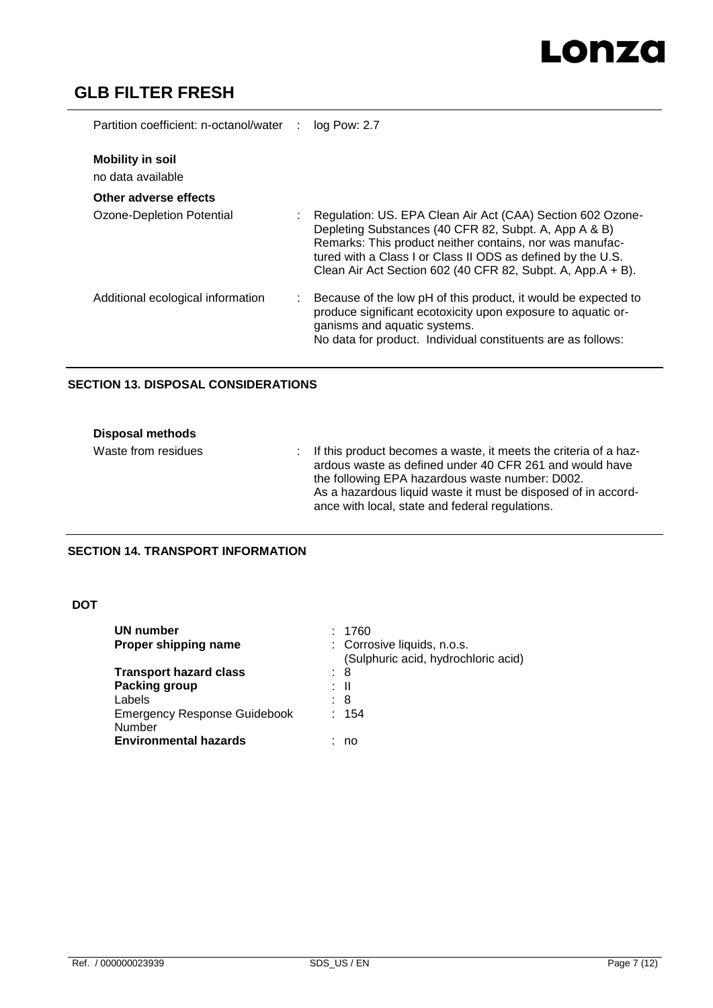# Lonza

# **GLB FILTER FRESH**

| Partition coefficient: n-octanol/water       | $log$ Pow: 2.7                                                                                                                                                                                                                                                                                                |
|----------------------------------------------|---------------------------------------------------------------------------------------------------------------------------------------------------------------------------------------------------------------------------------------------------------------------------------------------------------------|
| <b>Mobility in soil</b><br>no data available |                                                                                                                                                                                                                                                                                                               |
| Other adverse effects                        |                                                                                                                                                                                                                                                                                                               |
| Ozone-Depletion Potential                    | Regulation: US. EPA Clean Air Act (CAA) Section 602 Ozone-<br>Depleting Substances (40 CFR 82, Subpt. A, App A & B)<br>Remarks: This product neither contains, nor was manufac-<br>tured with a Class I or Class II ODS as defined by the U.S.<br>Clean Air Act Section 602 (40 CFR 82, Subpt. A, App.A + B). |
| Additional ecological information            | Because of the low pH of this product, it would be expected to<br>produce significant ecotoxicity upon exposure to aquatic or-<br>ganisms and aquatic systems.<br>No data for product. Individual constituents are as follows:                                                                                |

### **SECTION 13. DISPOSAL CONSIDERATIONS**

| <b>Disposal methods</b> |                                                                                                                                                                                                                                                                                                      |
|-------------------------|------------------------------------------------------------------------------------------------------------------------------------------------------------------------------------------------------------------------------------------------------------------------------------------------------|
| Waste from residues     | : If this product becomes a waste, it meets the criteria of a haz-<br>ardous waste as defined under 40 CFR 261 and would have<br>the following EPA hazardous waste number: D002.<br>As a hazardous liquid waste it must be disposed of in accord-<br>ance with local, state and federal regulations. |

# **SECTION 14. TRANSPORT INFORMATION**

### **DOT**

| UN number                                     | 1760                                                               |
|-----------------------------------------------|--------------------------------------------------------------------|
| Proper shipping name                          | : Corrosive liquids, n.o.s.<br>(Sulphuric acid, hydrochloric acid) |
| <b>Transport hazard class</b>                 | : 8                                                                |
| Packing group                                 | : II                                                               |
| Labels                                        | : 8                                                                |
| <b>Emergency Response Guidebook</b><br>Number | : 154                                                              |
| <b>Environmental hazards</b>                  | no                                                                 |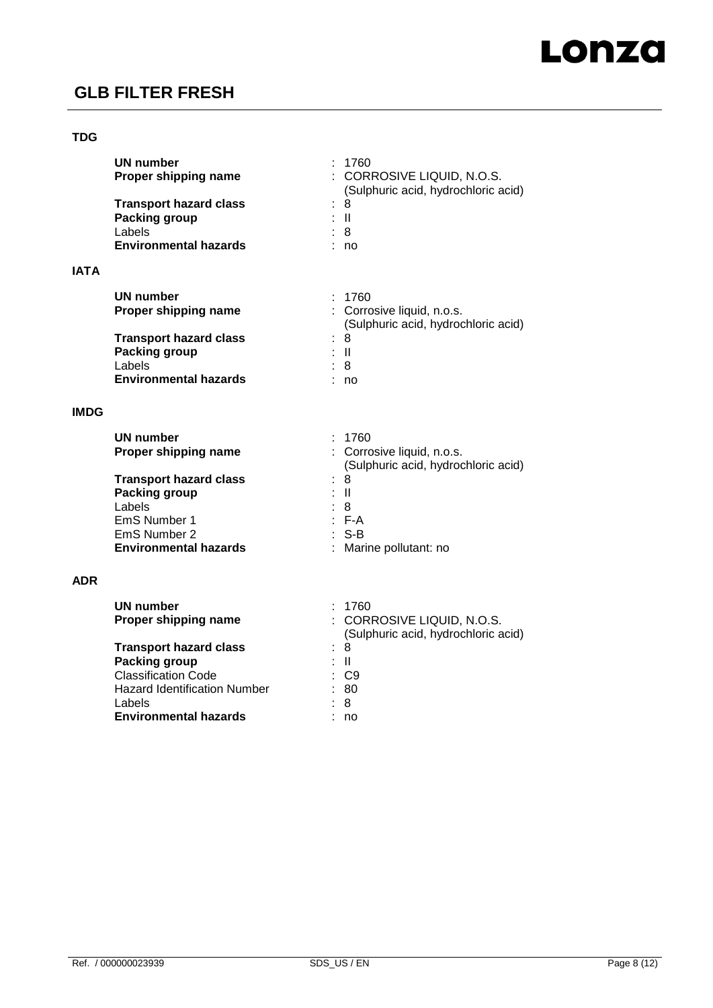

### **TDG**

**IATA**

| UN number<br>Proper shipping name | : 1760<br>: CORROSIVE LIQUID, N.O.S.<br>(Sulphuric acid, hydrochloric acid) |
|-----------------------------------|-----------------------------------------------------------------------------|
| <b>Transport hazard class</b>     | : 8                                                                         |
| Packing group                     | : II                                                                        |
| Labels                            | : 8                                                                         |
| <b>Environmental hazards</b>      | no                                                                          |
| UN number<br>Proper shipping name | : 1760<br>: Corrosive liquid, n.o.s.<br>(Sulphuric acid, hydrochloric acid) |
| <b>Transport hazard class</b>     | 8<br>t.                                                                     |
| Packing group                     | : II                                                                        |
| Labels                            | : 8                                                                         |
| <b>Environmental hazards</b>      | no                                                                          |

### **IMDG**

| <b>UN number</b>              | : 1760                                                            |
|-------------------------------|-------------------------------------------------------------------|
| Proper shipping name          | : Corrosive liquid, n.o.s.<br>(Sulphuric acid, hydrochloric acid) |
|                               |                                                                   |
| <b>Transport hazard class</b> | : 8                                                               |
| Packing group                 | : II                                                              |
| Labels                        | : 8                                                               |
| EmS Number 1                  | $E - A$                                                           |
| EmS Number 2                  | $:$ S-B                                                           |
| <b>Environmental hazards</b>  | : Marine pollutant: no                                            |

### **ADR**

| UN number                           | : 1760                                                            |
|-------------------------------------|-------------------------------------------------------------------|
| Proper shipping name                | : CORROSIVE LIQUID, N.O.S.<br>(Sulphuric acid, hydrochloric acid) |
| <b>Transport hazard class</b>       | : 8                                                               |
| Packing group                       | : II                                                              |
| <b>Classification Code</b>          | : C9                                                              |
| <b>Hazard Identification Number</b> | : 80                                                              |
| Labels                              | : 8                                                               |
| <b>Environmental hazards</b>        | no                                                                |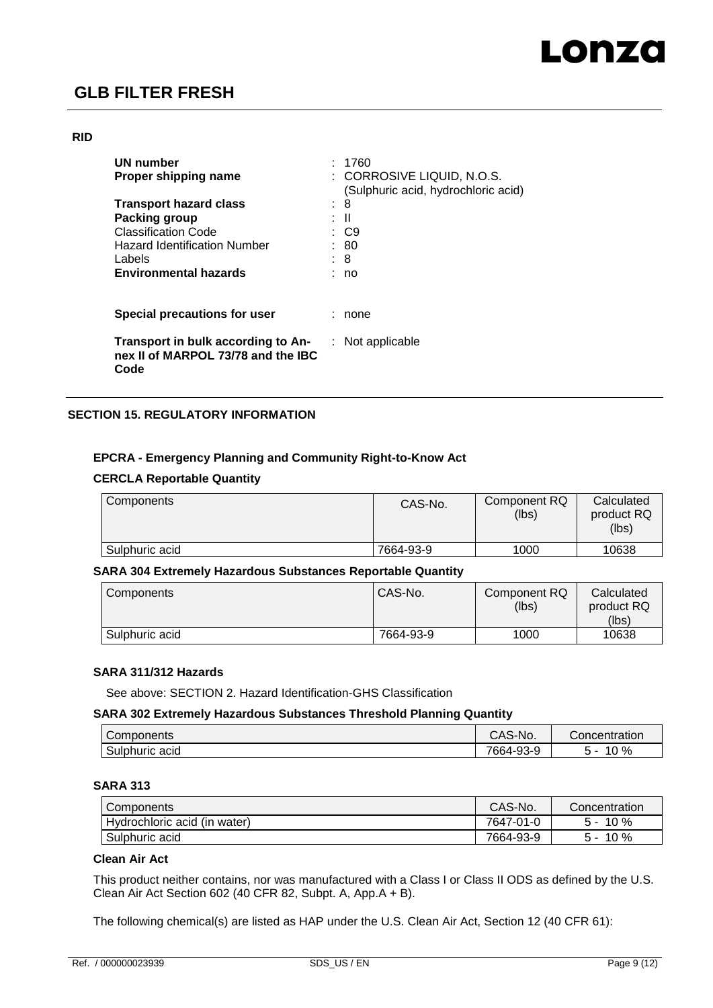#### **RID**

| UN number<br>Proper shipping name                                                | : 1760<br>: CORROSIVE LIQUID, N.O.S.<br>(Sulphuric acid, hydrochloric acid) |
|----------------------------------------------------------------------------------|-----------------------------------------------------------------------------|
| <b>Transport hazard class</b>                                                    | 8                                                                           |
| Packing group<br><b>Classification Code</b>                                      | : II<br>: C9                                                                |
| <b>Hazard Identification Number</b>                                              | : 80                                                                        |
| Labels<br><b>Environmental hazards</b>                                           | : 8<br>no                                                                   |
| Special precautions for user                                                     | none                                                                        |
| Transport in bulk according to An-<br>nex II of MARPOL 73/78 and the IBC<br>Code | $:$ Not applicable                                                          |

### **SECTION 15. REGULATORY INFORMATION**

### **EPCRA - Emergency Planning and Community Right-to-Know Act**

### **CERCLA Reportable Quantity**

| Components     | CAS-No.   | Component RQ<br>(lbs) | Calculated<br>product RQ<br>(lbs) |
|----------------|-----------|-----------------------|-----------------------------------|
| Sulphuric acid | 7664-93-9 | 1000                  | 10638                             |

### **SARA 304 Extremely Hazardous Substances Reportable Quantity**

| Components     | CAS-No.   | Component RQ<br>(lbs) | Calculated<br>product RQ<br>(lbs) |
|----------------|-----------|-----------------------|-----------------------------------|
|                |           |                       |                                   |
| Sulphuric acid | 7664-93-9 | 1000                  | 10638                             |

#### **SARA 311/312 Hazards**

See above: SECTION 2. Hazard Identification-GHS Classification

### **SARA 302 Extremely Hazardous Substances Threshold Planning Quantity**

| Components     | `S-No.<br>∵-ت∧ب | Concentration     |
|----------------|-----------------|-------------------|
| Sulphuric acid | 7664-93-9       | %<br>$\sim$<br>∵∪ |

## **SARA 313**

| Components                   | CAS-No.   | Concentration |
|------------------------------|-----------|---------------|
| Hydrochloric acid (in water) | 7647-01-0 | 10%<br>. -    |
| Sulphuric acid               | 7664-93-9 | 10%<br>$\sim$ |

### **Clean Air Act**

This product neither contains, nor was manufactured with a Class I or Class II ODS as defined by the U.S. Clean Air Act Section 602 (40 CFR 82, Subpt. A, App.A + B).

The following chemical(s) are listed as HAP under the U.S. Clean Air Act, Section 12 (40 CFR 61):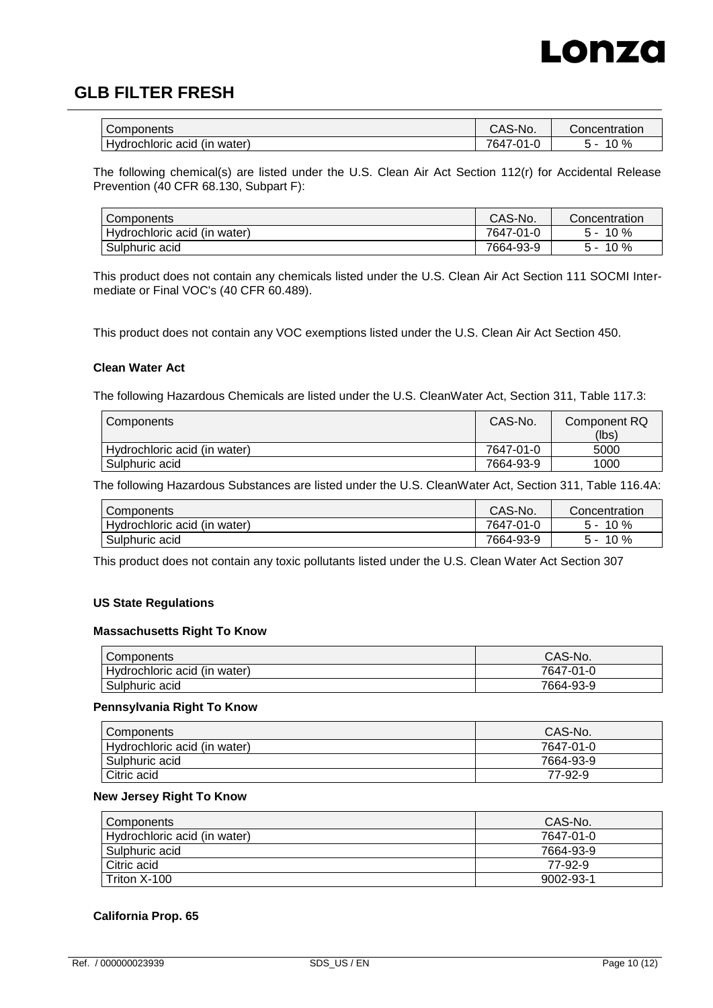

| Components            | CAS-No. | Concentration |
|-----------------------|---------|---------------|
| $\cdot$               | 764,    | ി വ           |
| water                 | ົາ1-ບ   | 7٥            |
| Hydrochloric acid (in | $-1$    | U             |

The following chemical(s) are listed under the U.S. Clean Air Act Section 112(r) for Accidental Release Prevention (40 CFR 68.130, Subpart F):

| Components                   | CAS-No.   | Concentration |
|------------------------------|-----------|---------------|
| Hydrochloric acid (in water) | 7647-01-0 | $10\%$<br>h - |
| Sulphuric acid               | 7664-93-9 | $10\%$<br>5 - |

This product does not contain any chemicals listed under the U.S. Clean Air Act Section 111 SOCMI Intermediate or Final VOC's (40 CFR 60.489).

This product does not contain any VOC exemptions listed under the U.S. Clean Air Act Section 450.

#### **Clean Water Act**

The following Hazardous Chemicals are listed under the U.S. CleanWater Act, Section 311, Table 117.3:

| Components                   | CAS-No.   | Component RQ |
|------------------------------|-----------|--------------|
|                              |           | (lbs)        |
| Hydrochloric acid (in water) | 7647-01-0 | 5000         |
| Sulphuric acid               | 7664-93-9 | 1000         |

The following Hazardous Substances are listed under the U.S. CleanWater Act, Section 311, Table 116.4A:

| I Components                 | CAS-No.   | Concentration |
|------------------------------|-----------|---------------|
| Hydrochloric acid (in water) | 7647-01-0 | $10\%$<br>5 - |
| Sulphuric acid               | 7664-93-9 | $10\%$<br>∽ - |

This product does not contain any toxic pollutants listed under the U.S. Clean Water Act Section 307

#### **US State Regulations**

#### **Massachusetts Right To Know**

| Components                   | CAS-No.   |
|------------------------------|-----------|
| Hydrochloric acid (in water) | 7647-01-0 |
| Sulphuric acid               | 7664-93-9 |

#### **Pennsylvania Right To Know**

| Components                   | CAS-No.   |
|------------------------------|-----------|
| Hydrochloric acid (in water) | 7647-01-0 |
| Sulphuric acid               | 7664-93-9 |
| Citric acid                  | 77-92-9   |

#### **New Jersey Right To Know**

| Components                   | CAS-No.   |
|------------------------------|-----------|
| Hydrochloric acid (in water) | 7647-01-0 |
| Sulphuric acid               | 7664-93-9 |
| Citric acid                  | 77-92-9   |
| Triton X-100                 | 9002-93-1 |

#### **California Prop. 65**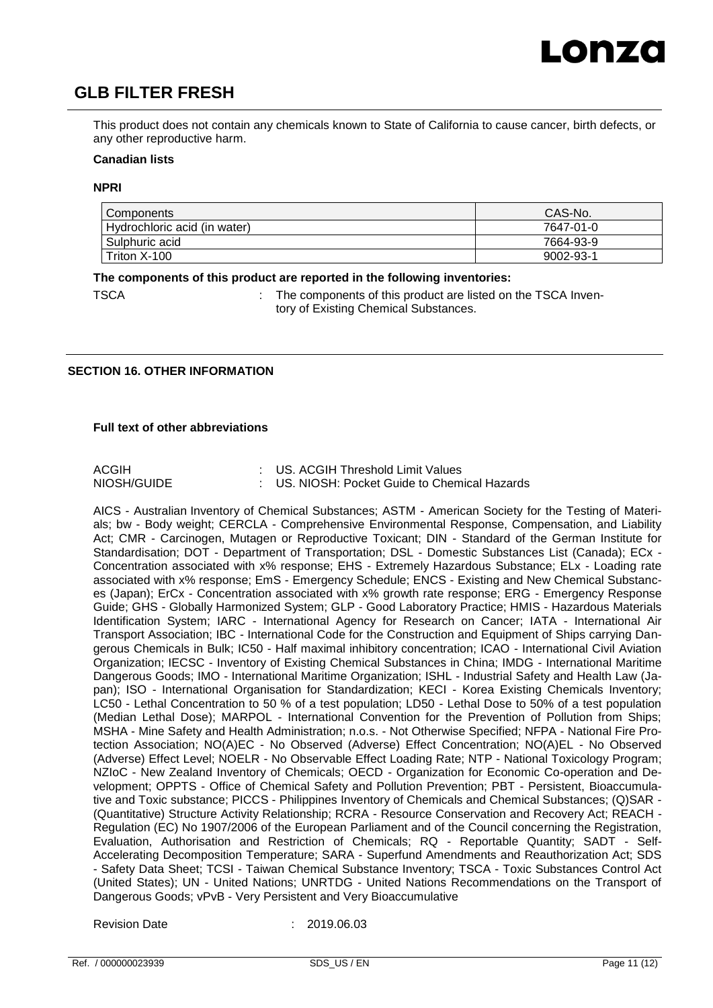This product does not contain any chemicals known to State of California to cause cancer, birth defects, or any other reproductive harm.

#### **Canadian lists**

#### **NPRI**

| Components                   | CAS-No.   |
|------------------------------|-----------|
| Hydrochloric acid (in water) | 7647-01-0 |
| Sulphuric acid               | 7664-93-9 |
| Triton X-100                 | 9002-93-1 |

#### **The components of this product are reported in the following inventories:**

TSCA : The components of this product are listed on the TSCA Inventory of Existing Chemical Substances.

### **SECTION 16. OTHER INFORMATION**

#### **Full text of other abbreviations**

| <b>ACGIH</b> | : US. ACGIH Threshold Limit Values            |
|--------------|-----------------------------------------------|
| NIOSH/GUIDE  | : US. NIOSH: Pocket Guide to Chemical Hazards |

AICS - Australian Inventory of Chemical Substances; ASTM - American Society for the Testing of Materials; bw - Body weight; CERCLA - Comprehensive Environmental Response, Compensation, and Liability Act; CMR - Carcinogen, Mutagen or Reproductive Toxicant; DIN - Standard of the German Institute for Standardisation; DOT - Department of Transportation; DSL - Domestic Substances List (Canada); ECx -Concentration associated with x% response; EHS - Extremely Hazardous Substance; ELx - Loading rate associated with x% response; EmS - Emergency Schedule; ENCS - Existing and New Chemical Substances (Japan); ErCx - Concentration associated with x% growth rate response; ERG - Emergency Response Guide; GHS - Globally Harmonized System; GLP - Good Laboratory Practice; HMIS - Hazardous Materials Identification System; IARC - International Agency for Research on Cancer; IATA - International Air Transport Association; IBC - International Code for the Construction and Equipment of Ships carrying Dangerous Chemicals in Bulk; IC50 - Half maximal inhibitory concentration; ICAO - International Civil Aviation Organization; IECSC - Inventory of Existing Chemical Substances in China; IMDG - International Maritime Dangerous Goods; IMO - International Maritime Organization; ISHL - Industrial Safety and Health Law (Japan); ISO - International Organisation for Standardization; KECI - Korea Existing Chemicals Inventory; LC50 - Lethal Concentration to 50 % of a test population; LD50 - Lethal Dose to 50% of a test population (Median Lethal Dose); MARPOL - International Convention for the Prevention of Pollution from Ships; MSHA - Mine Safety and Health Administration; n.o.s. - Not Otherwise Specified; NFPA - National Fire Protection Association; NO(A)EC - No Observed (Adverse) Effect Concentration; NO(A)EL - No Observed (Adverse) Effect Level; NOELR - No Observable Effect Loading Rate; NTP - National Toxicology Program; NZIoC - New Zealand Inventory of Chemicals; OECD - Organization for Economic Co-operation and Development; OPPTS - Office of Chemical Safety and Pollution Prevention; PBT - Persistent, Bioaccumulative and Toxic substance; PICCS - Philippines Inventory of Chemicals and Chemical Substances; (Q)SAR - (Quantitative) Structure Activity Relationship; RCRA - Resource Conservation and Recovery Act; REACH - Regulation (EC) No 1907/2006 of the European Parliament and of the Council concerning the Registration, Evaluation, Authorisation and Restriction of Chemicals; RQ - Reportable Quantity; SADT - Self-Accelerating Decomposition Temperature; SARA - Superfund Amendments and Reauthorization Act; SDS - Safety Data Sheet; TCSI - Taiwan Chemical Substance Inventory; TSCA - Toxic Substances Control Act (United States); UN - United Nations; UNRTDG - United Nations Recommendations on the Transport of Dangerous Goods; vPvB - Very Persistent and Very Bioaccumulative

Revision Date : 2019.06.03